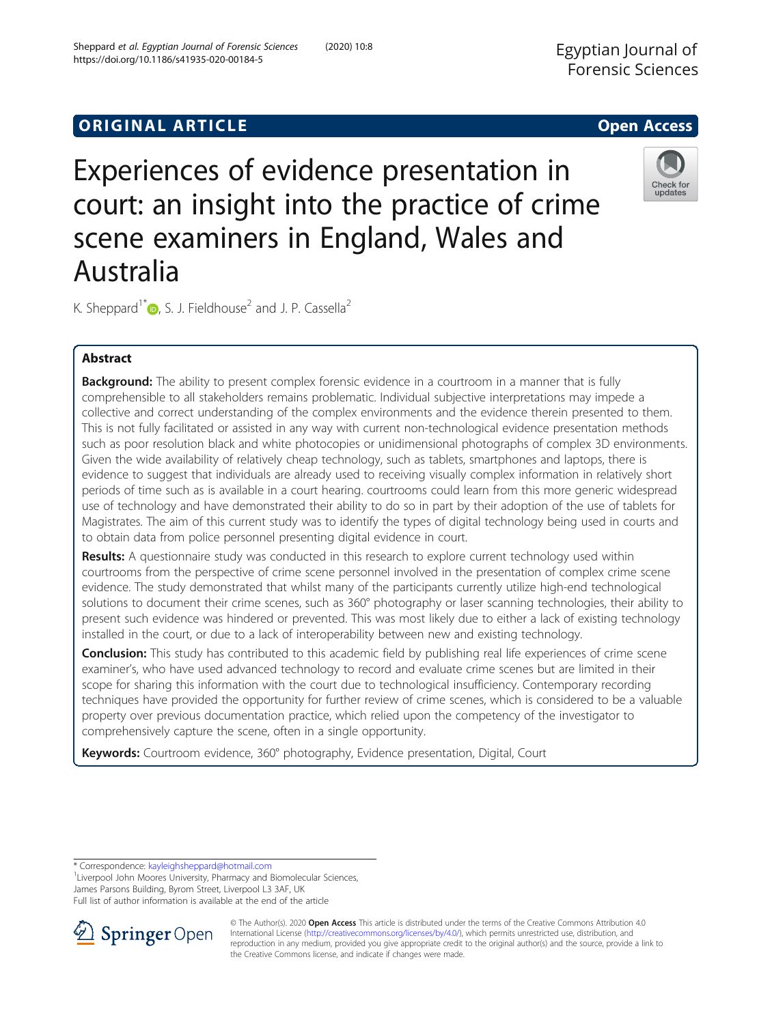# **ORIGINAL ARTICLE CONSERVANCE IN A LOCAL CONSERVANCE IN A LOCAL CONSERVANCE IN A LOCAL CONSERVANCE IN A LOCAL CONS**

Experiences of evidence presentation in court: an insight into the practice of crime scene examiners in England, Wales and Australia

K. Sheppard<sup>1[\\*](http://orcid.org/0000-0003-0806-7077)</sup>  $\bullet$ , S. J. Fieldhouse<sup>2</sup> and J. P. Cassella<sup>2</sup>

# Abstract

**Background:** The ability to present complex forensic evidence in a courtroom in a manner that is fully comprehensible to all stakeholders remains problematic. Individual subjective interpretations may impede a collective and correct understanding of the complex environments and the evidence therein presented to them. This is not fully facilitated or assisted in any way with current non-technological evidence presentation methods such as poor resolution black and white photocopies or unidimensional photographs of complex 3D environments. Given the wide availability of relatively cheap technology, such as tablets, smartphones and laptops, there is evidence to suggest that individuals are already used to receiving visually complex information in relatively short periods of time such as is available in a court hearing. courtrooms could learn from this more generic widespread use of technology and have demonstrated their ability to do so in part by their adoption of the use of tablets for Magistrates. The aim of this current study was to identify the types of digital technology being used in courts and to obtain data from police personnel presenting digital evidence in court.

Results: A questionnaire study was conducted in this research to explore current technology used within courtrooms from the perspective of crime scene personnel involved in the presentation of complex crime scene evidence. The study demonstrated that whilst many of the participants currently utilize high-end technological solutions to document their crime scenes, such as 360° photography or laser scanning technologies, their ability to present such evidence was hindered or prevented. This was most likely due to either a lack of existing technology installed in the court, or due to a lack of interoperability between new and existing technology.

**Conclusion:** This study has contributed to this academic field by publishing real life experiences of crime scene examiner's, who have used advanced technology to record and evaluate crime scenes but are limited in their scope for sharing this information with the court due to technological insufficiency. Contemporary recording techniques have provided the opportunity for further review of crime scenes, which is considered to be a valuable property over previous documentation practice, which relied upon the competency of the investigator to comprehensively capture the scene, often in a single opportunity.

Keywords: Courtroom evidence, 360° photography, Evidence presentation, Digital, Court

\* Correspondence: [kayleighsheppard@hotmail.com](mailto:kayleighsheppard@hotmail.com) <sup>1</sup>

<sup>1</sup> Liverpool John Moores University, Pharmacy and Biomolecular Sciences, James Parsons Building, Byrom Street, Liverpool L3 3AF, UK

Full list of author information is available at the end of the article



© The Author(s). 2020 Open Access This article is distributed under the terms of the Creative Commons Attribution 4.0 International License ([http://creativecommons.org/licenses/by/4.0/\)](http://creativecommons.org/licenses/by/4.0/), which permits unrestricted use, distribution, and reproduction in any medium, provided you give appropriate credit to the original author(s) and the source, provide a link to the Creative Commons license, and indicate if changes were made.

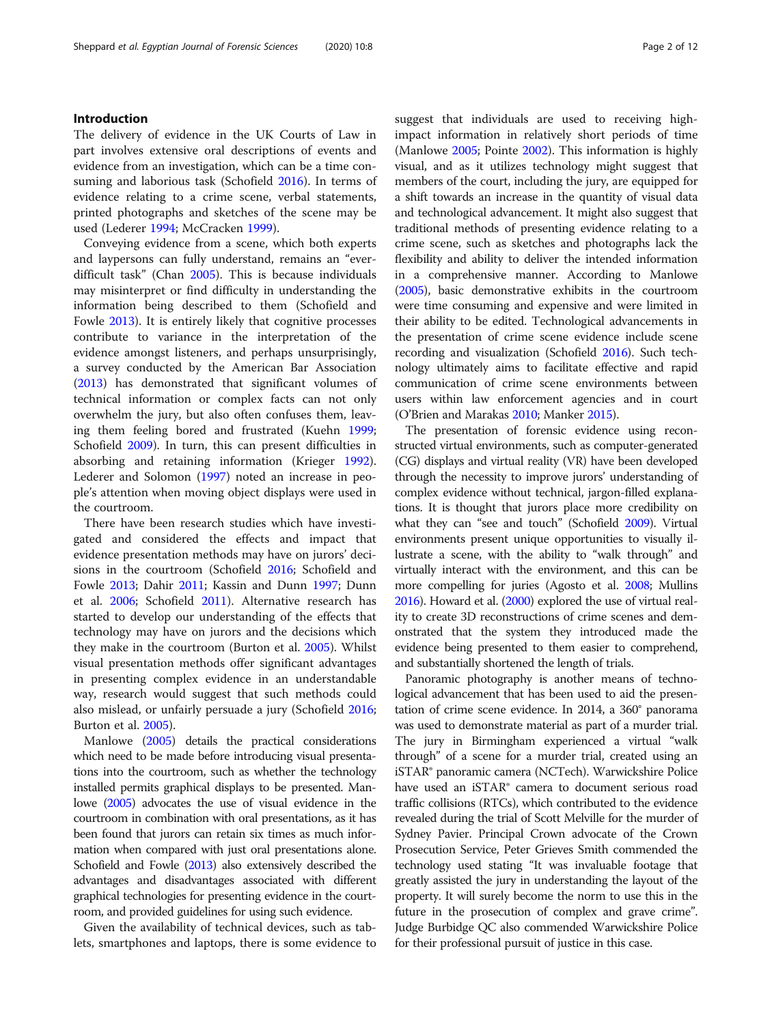## Introduction

The delivery of evidence in the UK Courts of Law in part involves extensive oral descriptions of events and evidence from an investigation, which can be a time consuming and laborious task (Schofield [2016](#page-11-0)). In terms of evidence relating to a crime scene, verbal statements, printed photographs and sketches of the scene may be used (Lederer [1994](#page-10-0); McCracken [1999](#page-11-0)).

Conveying evidence from a scene, which both experts and laypersons can fully understand, remains an "everdifficult task" (Chan [2005](#page-10-0)). This is because individuals may misinterpret or find difficulty in understanding the information being described to them (Schofield and Fowle [2013\)](#page-11-0). It is entirely likely that cognitive processes contribute to variance in the interpretation of the evidence amongst listeners, and perhaps unsurprisingly, a survey conducted by the American Bar Association ([2013](#page-10-0)) has demonstrated that significant volumes of technical information or complex facts can not only overwhelm the jury, but also often confuses them, leaving them feeling bored and frustrated (Kuehn [1999](#page-10-0); Schofield [2009\)](#page-11-0). In turn, this can present difficulties in absorbing and retaining information (Krieger [1992](#page-10-0)). Lederer and Solomon ([1997\)](#page-10-0) noted an increase in people's attention when moving object displays were used in the courtroom.

There have been research studies which have investigated and considered the effects and impact that evidence presentation methods may have on jurors' decisions in the courtroom (Schofield [2016](#page-11-0); Schofield and Fowle [2013](#page-11-0); Dahir [2011;](#page-10-0) Kassin and Dunn [1997;](#page-10-0) Dunn et al. [2006](#page-10-0); Schofield [2011](#page-11-0)). Alternative research has started to develop our understanding of the effects that technology may have on jurors and the decisions which they make in the courtroom (Burton et al. [2005\)](#page-10-0). Whilst visual presentation methods offer significant advantages in presenting complex evidence in an understandable way, research would suggest that such methods could also mislead, or unfairly persuade a jury (Schofield [2016](#page-11-0); Burton et al. [2005](#page-10-0)).

Manlowe ([2005\)](#page-11-0) details the practical considerations which need to be made before introducing visual presentations into the courtroom, such as whether the technology installed permits graphical displays to be presented. Manlowe ([2005\)](#page-11-0) advocates the use of visual evidence in the courtroom in combination with oral presentations, as it has been found that jurors can retain six times as much information when compared with just oral presentations alone. Schofield and Fowle [\(2013](#page-11-0)) also extensively described the advantages and disadvantages associated with different graphical technologies for presenting evidence in the courtroom, and provided guidelines for using such evidence.

Given the availability of technical devices, such as tablets, smartphones and laptops, there is some evidence to suggest that individuals are used to receiving highimpact information in relatively short periods of time (Manlowe [2005;](#page-11-0) Pointe [2002\)](#page-11-0). This information is highly visual, and as it utilizes technology might suggest that members of the court, including the jury, are equipped for a shift towards an increase in the quantity of visual data and technological advancement. It might also suggest that traditional methods of presenting evidence relating to a crime scene, such as sketches and photographs lack the flexibility and ability to deliver the intended information in a comprehensive manner. According to Manlowe ([2005](#page-11-0)), basic demonstrative exhibits in the courtroom were time consuming and expensive and were limited in their ability to be edited. Technological advancements in the presentation of crime scene evidence include scene recording and visualization (Schofield [2016](#page-11-0)). Such technology ultimately aims to facilitate effective and rapid communication of crime scene environments between users within law enforcement agencies and in court (O'Brien and Marakas [2010;](#page-11-0) Manker [2015\)](#page-11-0).

The presentation of forensic evidence using reconstructed virtual environments, such as computer-generated (CG) displays and virtual reality (VR) have been developed through the necessity to improve jurors' understanding of complex evidence without technical, jargon-filled explanations. It is thought that jurors place more credibility on what they can "see and touch" (Schofield [2009](#page-11-0)). Virtual environments present unique opportunities to visually illustrate a scene, with the ability to "walk through" and virtually interact with the environment, and this can be more compelling for juries (Agosto et al. [2008](#page-10-0); Mullins [2016\)](#page-11-0). Howard et al. [\(2000](#page-10-0)) explored the use of virtual reality to create 3D reconstructions of crime scenes and demonstrated that the system they introduced made the evidence being presented to them easier to comprehend, and substantially shortened the length of trials.

Panoramic photography is another means of technological advancement that has been used to aid the presentation of crime scene evidence. In 2014, a 360° panorama was used to demonstrate material as part of a murder trial. The jury in Birmingham experienced a virtual "walk through" of a scene for a murder trial, created using an iSTAR® panoramic camera (NCTech). Warwickshire Police have used an iSTAR® camera to document serious road traffic collisions (RTCs), which contributed to the evidence revealed during the trial of Scott Melville for the murder of Sydney Pavier. Principal Crown advocate of the Crown Prosecution Service, Peter Grieves Smith commended the technology used stating "It was invaluable footage that greatly assisted the jury in understanding the layout of the property. It will surely become the norm to use this in the future in the prosecution of complex and grave crime". Judge Burbidge QC also commended Warwickshire Police for their professional pursuit of justice in this case.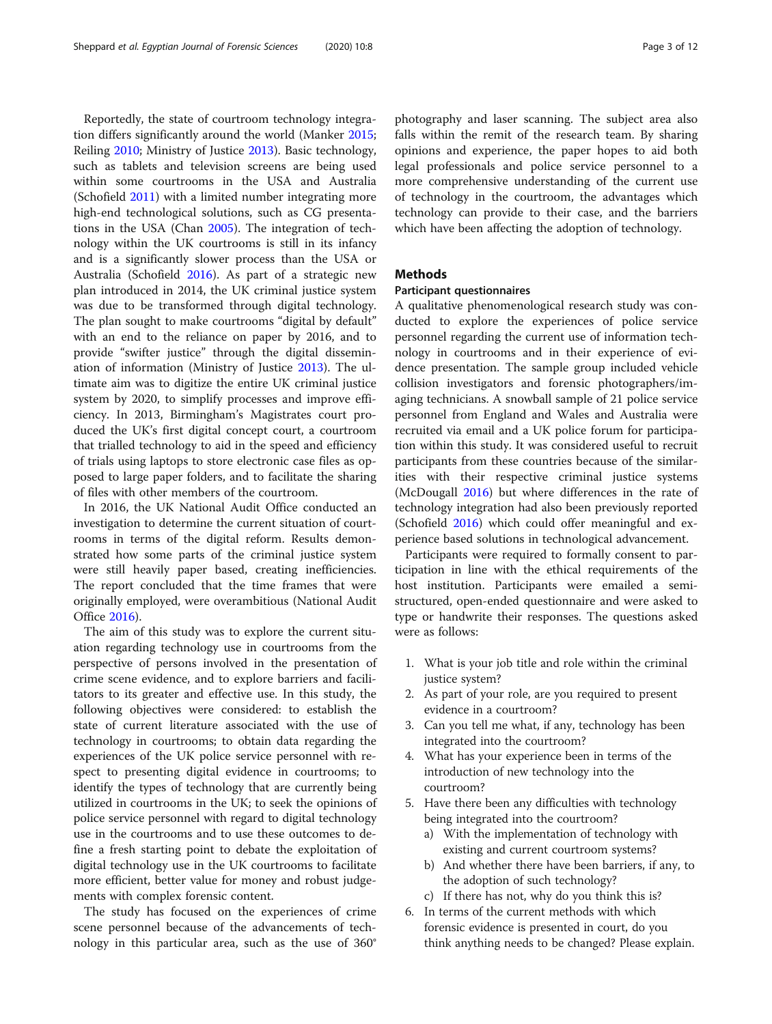Reportedly, the state of courtroom technology integration differs significantly around the world (Manker [2015](#page-11-0); Reiling [2010;](#page-11-0) Ministry of Justice [2013](#page-11-0)). Basic technology, such as tablets and television screens are being used within some courtrooms in the USA and Australia (Schofield [2011](#page-11-0)) with a limited number integrating more high-end technological solutions, such as CG presentations in the USA (Chan [2005](#page-10-0)). The integration of technology within the UK courtrooms is still in its infancy and is a significantly slower process than the USA or Australia (Schofield [2016](#page-11-0)). As part of a strategic new plan introduced in 2014, the UK criminal justice system was due to be transformed through digital technology. The plan sought to make courtrooms "digital by default" with an end to the reliance on paper by 2016, and to provide "swifter justice" through the digital dissemination of information (Ministry of Justice [2013\)](#page-11-0). The ultimate aim was to digitize the entire UK criminal justice system by 2020, to simplify processes and improve efficiency. In 2013, Birmingham's Magistrates court produced the UK's first digital concept court, a courtroom that trialled technology to aid in the speed and efficiency of trials using laptops to store electronic case files as opposed to large paper folders, and to facilitate the sharing of files with other members of the courtroom.

In 2016, the UK National Audit Office conducted an investigation to determine the current situation of courtrooms in terms of the digital reform. Results demonstrated how some parts of the criminal justice system were still heavily paper based, creating inefficiencies. The report concluded that the time frames that were originally employed, were overambitious (National Audit Office [2016](#page-11-0)).

The aim of this study was to explore the current situation regarding technology use in courtrooms from the perspective of persons involved in the presentation of crime scene evidence, and to explore barriers and facilitators to its greater and effective use. In this study, the following objectives were considered: to establish the state of current literature associated with the use of technology in courtrooms; to obtain data regarding the experiences of the UK police service personnel with respect to presenting digital evidence in courtrooms; to identify the types of technology that are currently being utilized in courtrooms in the UK; to seek the opinions of police service personnel with regard to digital technology use in the courtrooms and to use these outcomes to define a fresh starting point to debate the exploitation of digital technology use in the UK courtrooms to facilitate more efficient, better value for money and robust judgements with complex forensic content.

The study has focused on the experiences of crime scene personnel because of the advancements of technology in this particular area, such as the use of 360° photography and laser scanning. The subject area also falls within the remit of the research team. By sharing opinions and experience, the paper hopes to aid both legal professionals and police service personnel to a more comprehensive understanding of the current use of technology in the courtroom, the advantages which technology can provide to their case, and the barriers which have been affecting the adoption of technology.

## Methods

## Participant questionnaires

A qualitative phenomenological research study was conducted to explore the experiences of police service personnel regarding the current use of information technology in courtrooms and in their experience of evidence presentation. The sample group included vehicle collision investigators and forensic photographers/imaging technicians. A snowball sample of 21 police service personnel from England and Wales and Australia were recruited via email and a UK police forum for participation within this study. It was considered useful to recruit participants from these countries because of the similarities with their respective criminal justice systems (McDougall [2016](#page-11-0)) but where differences in the rate of technology integration had also been previously reported (Schofield [2016](#page-11-0)) which could offer meaningful and experience based solutions in technological advancement.

Participants were required to formally consent to participation in line with the ethical requirements of the host institution. Participants were emailed a semistructured, open-ended questionnaire and were asked to type or handwrite their responses. The questions asked were as follows:

- 1. What is your job title and role within the criminal justice system?
- 2. As part of your role, are you required to present evidence in a courtroom?
- 3. Can you tell me what, if any, technology has been integrated into the courtroom?
- 4. What has your experience been in terms of the introduction of new technology into the courtroom?
- 5. Have there been any difficulties with technology being integrated into the courtroom?
	- a) With the implementation of technology with existing and current courtroom systems?
	- b) And whether there have been barriers, if any, to the adoption of such technology?
	- c) If there has not, why do you think this is?
- 6. In terms of the current methods with which forensic evidence is presented in court, do you think anything needs to be changed? Please explain.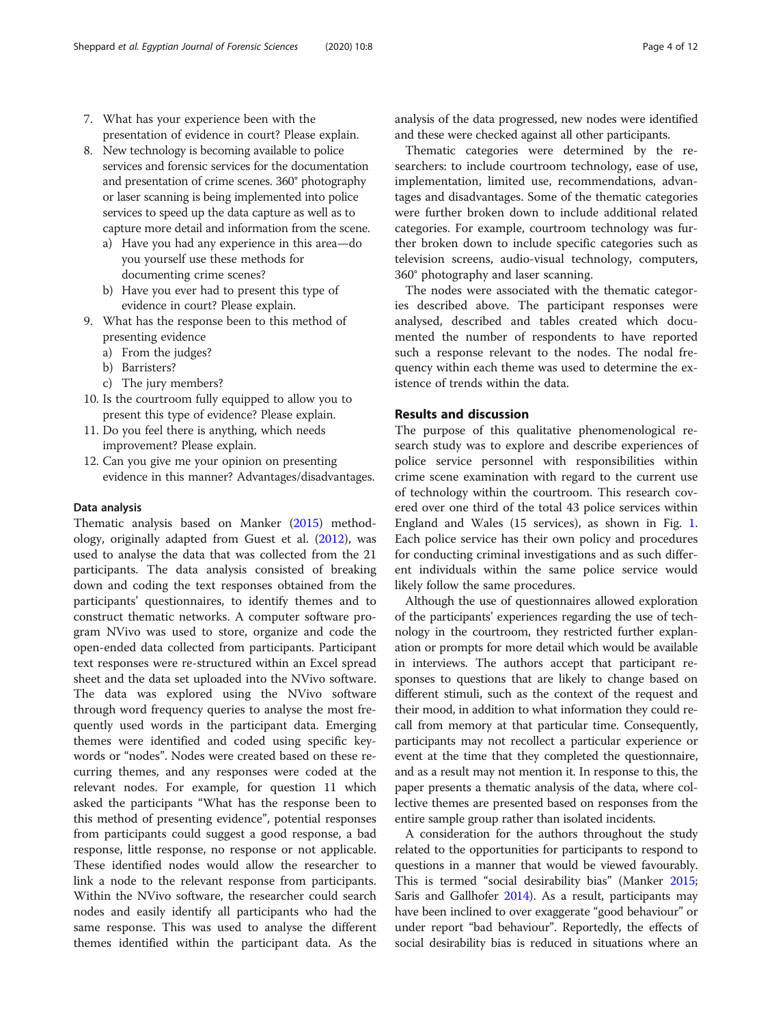- 7. What has your experience been with the presentation of evidence in court? Please explain.
- 8. New technology is becoming available to police services and forensic services for the documentation and presentation of crime scenes. 360° photography or laser scanning is being implemented into police services to speed up the data capture as well as to capture more detail and information from the scene.
	- a) Have you had any experience in this area—do you yourself use these methods for documenting crime scenes?
	- b) Have you ever had to present this type of evidence in court? Please explain.
- 9. What has the response been to this method of presenting evidence
	- a) From the judges?
	- b) Barristers?
	- c) The jury members?
- 10. Is the courtroom fully equipped to allow you to present this type of evidence? Please explain.
- 11. Do you feel there is anything, which needs improvement? Please explain.
- 12. Can you give me your opinion on presenting evidence in this manner? Advantages/disadvantages.

## Data analysis

Thematic analysis based on Manker ([2015](#page-11-0)) methodology, originally adapted from Guest et al. [\(2012\)](#page-10-0), was used to analyse the data that was collected from the 21 participants. The data analysis consisted of breaking down and coding the text responses obtained from the participants' questionnaires, to identify themes and to construct thematic networks. A computer software program NVivo was used to store, organize and code the open-ended data collected from participants. Participant text responses were re-structured within an Excel spread sheet and the data set uploaded into the NVivo software. The data was explored using the NVivo software through word frequency queries to analyse the most frequently used words in the participant data. Emerging themes were identified and coded using specific keywords or "nodes". Nodes were created based on these recurring themes, and any responses were coded at the relevant nodes. For example, for question 11 which asked the participants "What has the response been to this method of presenting evidence", potential responses from participants could suggest a good response, a bad response, little response, no response or not applicable. These identified nodes would allow the researcher to link a node to the relevant response from participants. Within the NVivo software, the researcher could search nodes and easily identify all participants who had the same response. This was used to analyse the different themes identified within the participant data. As the analysis of the data progressed, new nodes were identified and these were checked against all other participants.

Thematic categories were determined by the researchers: to include courtroom technology, ease of use, implementation, limited use, recommendations, advantages and disadvantages. Some of the thematic categories were further broken down to include additional related categories. For example, courtroom technology was further broken down to include specific categories such as television screens, audio-visual technology, computers, 360° photography and laser scanning.

The nodes were associated with the thematic categories described above. The participant responses were analysed, described and tables created which documented the number of respondents to have reported such a response relevant to the nodes. The nodal frequency within each theme was used to determine the existence of trends within the data.

## Results and discussion

The purpose of this qualitative phenomenological research study was to explore and describe experiences of police service personnel with responsibilities within crime scene examination with regard to the current use of technology within the courtroom. This research covered over one third of the total 43 police services within England and Wales (15 services), as shown in Fig. [1](#page-4-0). Each police service has their own policy and procedures for conducting criminal investigations and as such different individuals within the same police service would likely follow the same procedures.

Although the use of questionnaires allowed exploration of the participants' experiences regarding the use of technology in the courtroom, they restricted further explanation or prompts for more detail which would be available in interviews. The authors accept that participant responses to questions that are likely to change based on different stimuli, such as the context of the request and their mood, in addition to what information they could recall from memory at that particular time. Consequently, participants may not recollect a particular experience or event at the time that they completed the questionnaire, and as a result may not mention it. In response to this, the paper presents a thematic analysis of the data, where collective themes are presented based on responses from the entire sample group rather than isolated incidents.

A consideration for the authors throughout the study related to the opportunities for participants to respond to questions in a manner that would be viewed favourably. This is termed "social desirability bias" (Manker [2015](#page-11-0); Saris and Gallhofer [2014](#page-11-0)). As a result, participants may have been inclined to over exaggerate "good behaviour" or under report "bad behaviour". Reportedly, the effects of social desirability bias is reduced in situations where an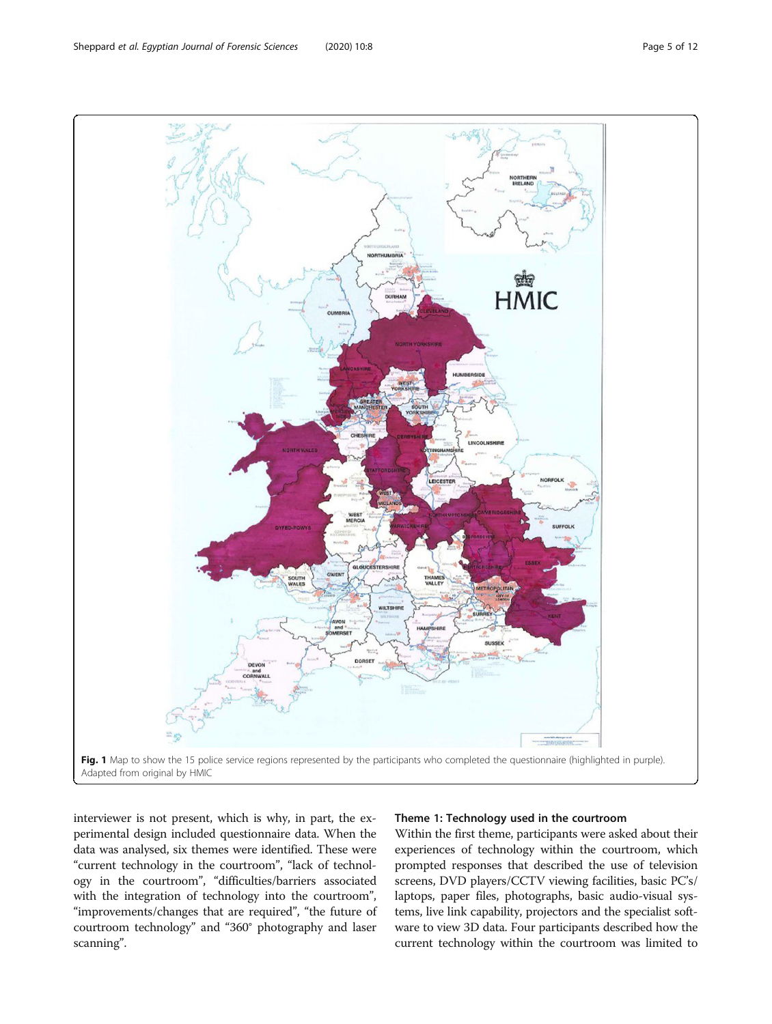<span id="page-4-0"></span>

interviewer is not present, which is why, in part, the experimental design included questionnaire data. When the data was analysed, six themes were identified. These were "current technology in the courtroom", "lack of technology in the courtroom", "difficulties/barriers associated with the integration of technology into the courtroom", "improvements/changes that are required", "the future of courtroom technology" and "360° photography and laser scanning".

## Theme 1: Technology used in the courtroom

Within the first theme, participants were asked about their experiences of technology within the courtroom, which prompted responses that described the use of television screens, DVD players/CCTV viewing facilities, basic PC's/ laptops, paper files, photographs, basic audio-visual systems, live link capability, projectors and the specialist software to view 3D data. Four participants described how the current technology within the courtroom was limited to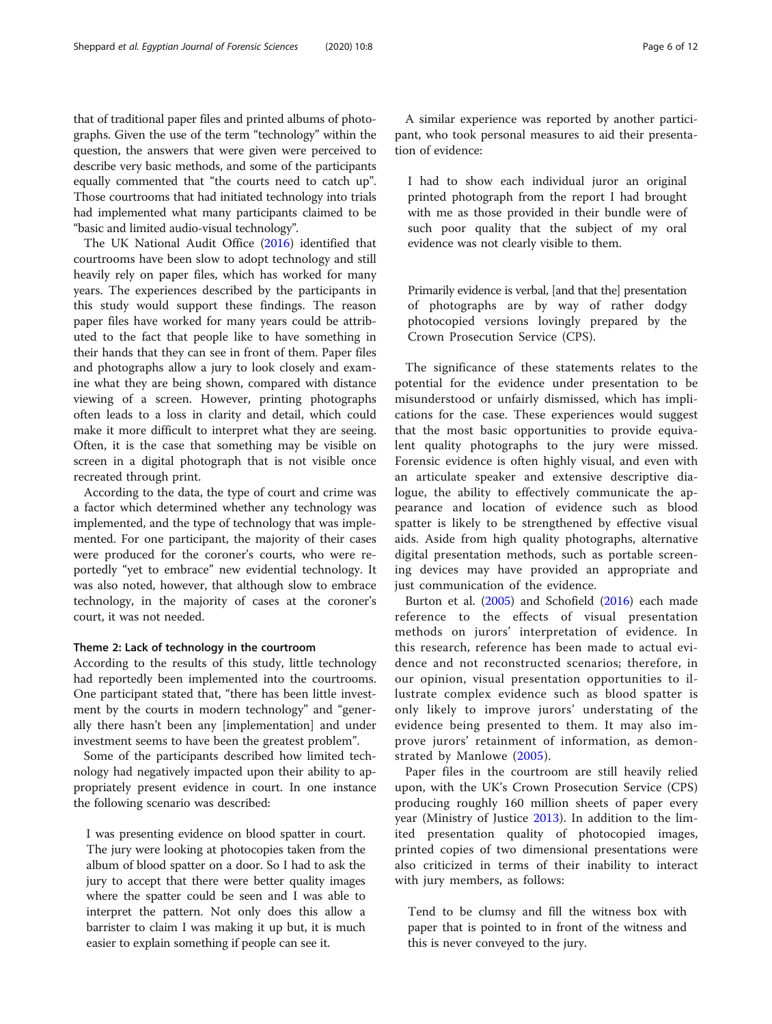that of traditional paper files and printed albums of photographs. Given the use of the term "technology" within the question, the answers that were given were perceived to describe very basic methods, and some of the participants equally commented that "the courts need to catch up". Those courtrooms that had initiated technology into trials had implemented what many participants claimed to be "basic and limited audio-visual technology".

The UK National Audit Office [\(2016\)](#page-11-0) identified that courtrooms have been slow to adopt technology and still heavily rely on paper files, which has worked for many years. The experiences described by the participants in this study would support these findings. The reason paper files have worked for many years could be attributed to the fact that people like to have something in their hands that they can see in front of them. Paper files and photographs allow a jury to look closely and examine what they are being shown, compared with distance viewing of a screen. However, printing photographs often leads to a loss in clarity and detail, which could make it more difficult to interpret what they are seeing. Often, it is the case that something may be visible on screen in a digital photograph that is not visible once recreated through print.

According to the data, the type of court and crime was a factor which determined whether any technology was implemented, and the type of technology that was implemented. For one participant, the majority of their cases were produced for the coroner's courts, who were reportedly "yet to embrace" new evidential technology. It was also noted, however, that although slow to embrace technology, in the majority of cases at the coroner's court, it was not needed.

## Theme 2: Lack of technology in the courtroom

According to the results of this study, little technology had reportedly been implemented into the courtrooms. One participant stated that, "there has been little investment by the courts in modern technology" and "generally there hasn't been any [implementation] and under investment seems to have been the greatest problem".

Some of the participants described how limited technology had negatively impacted upon their ability to appropriately present evidence in court. In one instance the following scenario was described:

I was presenting evidence on blood spatter in court. The jury were looking at photocopies taken from the album of blood spatter on a door. So I had to ask the jury to accept that there were better quality images where the spatter could be seen and I was able to interpret the pattern. Not only does this allow a barrister to claim I was making it up but, it is much easier to explain something if people can see it.

A similar experience was reported by another participant, who took personal measures to aid their presentation of evidence:

I had to show each individual juror an original printed photograph from the report I had brought with me as those provided in their bundle were of such poor quality that the subject of my oral evidence was not clearly visible to them.

Primarily evidence is verbal, [and that the] presentation of photographs are by way of rather dodgy photocopied versions lovingly prepared by the Crown Prosecution Service (CPS).

The significance of these statements relates to the potential for the evidence under presentation to be misunderstood or unfairly dismissed, which has implications for the case. These experiences would suggest that the most basic opportunities to provide equivalent quality photographs to the jury were missed. Forensic evidence is often highly visual, and even with an articulate speaker and extensive descriptive dialogue, the ability to effectively communicate the appearance and location of evidence such as blood spatter is likely to be strengthened by effective visual aids. Aside from high quality photographs, alternative digital presentation methods, such as portable screening devices may have provided an appropriate and just communication of the evidence.

Burton et al. [\(2005](#page-10-0)) and Schofield [\(2016\)](#page-11-0) each made reference to the effects of visual presentation methods on jurors' interpretation of evidence. In this research, reference has been made to actual evidence and not reconstructed scenarios; therefore, in our opinion, visual presentation opportunities to illustrate complex evidence such as blood spatter is only likely to improve jurors' understating of the evidence being presented to them. It may also improve jurors' retainment of information, as demonstrated by Manlowe ([2005\)](#page-11-0).

Paper files in the courtroom are still heavily relied upon, with the UK's Crown Prosecution Service (CPS) producing roughly 160 million sheets of paper every year (Ministry of Justice [2013\)](#page-11-0). In addition to the limited presentation quality of photocopied images, printed copies of two dimensional presentations were also criticized in terms of their inability to interact with jury members, as follows:

Tend to be clumsy and fill the witness box with paper that is pointed to in front of the witness and this is never conveyed to the jury.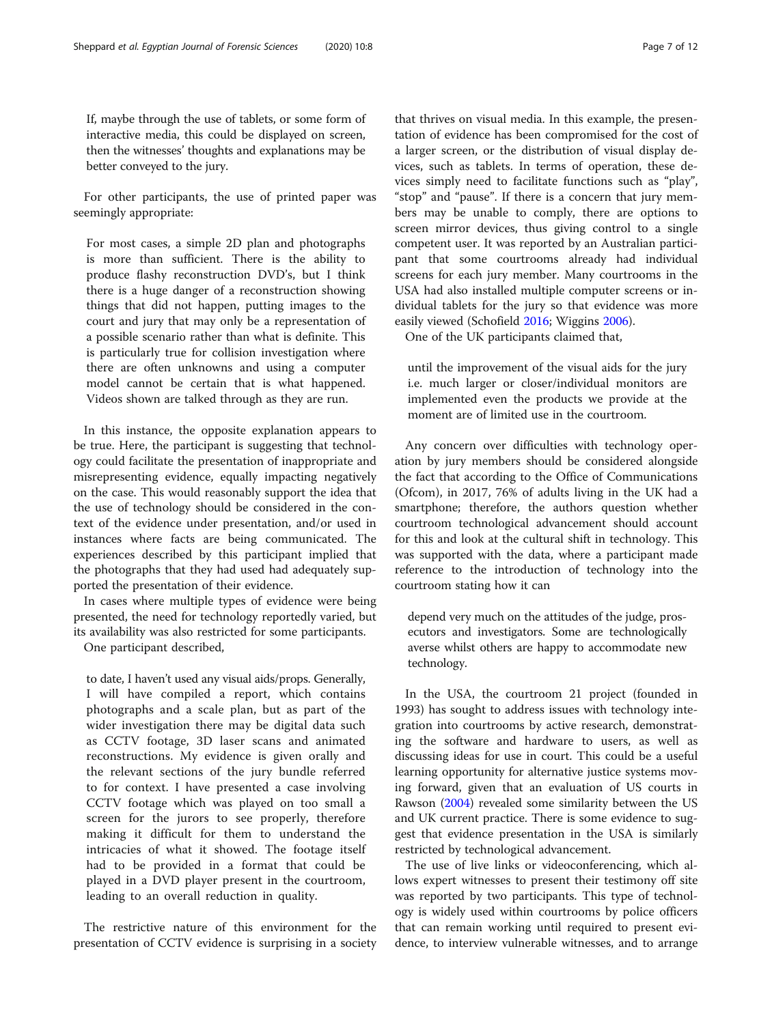If, maybe through the use of tablets, or some form of interactive media, this could be displayed on screen, then the witnesses' thoughts and explanations may be better conveyed to the jury.

For other participants, the use of printed paper was seemingly appropriate:

For most cases, a simple 2D plan and photographs is more than sufficient. There is the ability to produce flashy reconstruction DVD's, but I think there is a huge danger of a reconstruction showing things that did not happen, putting images to the court and jury that may only be a representation of a possible scenario rather than what is definite. This is particularly true for collision investigation where there are often unknowns and using a computer model cannot be certain that is what happened. Videos shown are talked through as they are run.

In this instance, the opposite explanation appears to be true. Here, the participant is suggesting that technology could facilitate the presentation of inappropriate and misrepresenting evidence, equally impacting negatively on the case. This would reasonably support the idea that the use of technology should be considered in the context of the evidence under presentation, and/or used in instances where facts are being communicated. The experiences described by this participant implied that the photographs that they had used had adequately supported the presentation of their evidence.

In cases where multiple types of evidence were being presented, the need for technology reportedly varied, but its availability was also restricted for some participants.

One participant described,

to date, I haven't used any visual aids/props. Generally, I will have compiled a report, which contains photographs and a scale plan, but as part of the wider investigation there may be digital data such as CCTV footage, 3D laser scans and animated reconstructions. My evidence is given orally and the relevant sections of the jury bundle referred to for context. I have presented a case involving CCTV footage which was played on too small a screen for the jurors to see properly, therefore making it difficult for them to understand the intricacies of what it showed. The footage itself had to be provided in a format that could be played in a DVD player present in the courtroom, leading to an overall reduction in quality.

The restrictive nature of this environment for the presentation of CCTV evidence is surprising in a society

that thrives on visual media. In this example, the presentation of evidence has been compromised for the cost of a larger screen, or the distribution of visual display devices, such as tablets. In terms of operation, these devices simply need to facilitate functions such as "play", "stop" and "pause". If there is a concern that jury members may be unable to comply, there are options to screen mirror devices, thus giving control to a single competent user. It was reported by an Australian participant that some courtrooms already had individual screens for each jury member. Many courtrooms in the USA had also installed multiple computer screens or individual tablets for the jury so that evidence was more easily viewed (Schofield [2016;](#page-11-0) Wiggins [2006](#page-11-0)).

One of the UK participants claimed that,

until the improvement of the visual aids for the jury i.e. much larger or closer/individual monitors are implemented even the products we provide at the moment are of limited use in the courtroom.

Any concern over difficulties with technology operation by jury members should be considered alongside the fact that according to the Office of Communications (Ofcom), in 2017, 76% of adults living in the UK had a smartphone; therefore, the authors question whether courtroom technological advancement should account for this and look at the cultural shift in technology. This was supported with the data, where a participant made reference to the introduction of technology into the courtroom stating how it can

depend very much on the attitudes of the judge, prosecutors and investigators. Some are technologically averse whilst others are happy to accommodate new technology.

In the USA, the courtroom 21 project (founded in 1993) has sought to address issues with technology integration into courtrooms by active research, demonstrating the software and hardware to users, as well as discussing ideas for use in court. This could be a useful learning opportunity for alternative justice systems moving forward, given that an evaluation of US courts in Rawson ([2004\)](#page-11-0) revealed some similarity between the US and UK current practice. There is some evidence to suggest that evidence presentation in the USA is similarly restricted by technological advancement.

The use of live links or videoconferencing, which allows expert witnesses to present their testimony off site was reported by two participants. This type of technology is widely used within courtrooms by police officers that can remain working until required to present evidence, to interview vulnerable witnesses, and to arrange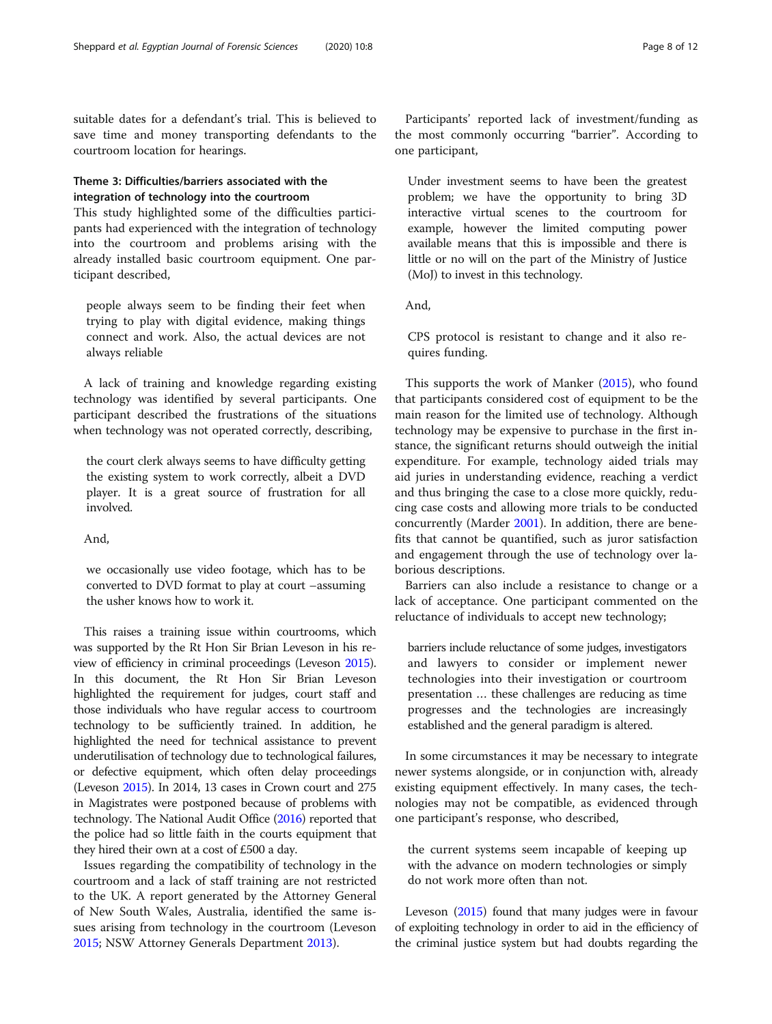suitable dates for a defendant's trial. This is believed to save time and money transporting defendants to the courtroom location for hearings.

# Theme 3: Difficulties/barriers associated with the integration of technology into the courtroom

This study highlighted some of the difficulties participants had experienced with the integration of technology into the courtroom and problems arising with the already installed basic courtroom equipment. One participant described,

people always seem to be finding their feet when trying to play with digital evidence, making things connect and work. Also, the actual devices are not always reliable

A lack of training and knowledge regarding existing technology was identified by several participants. One participant described the frustrations of the situations when technology was not operated correctly, describing,

the court clerk always seems to have difficulty getting the existing system to work correctly, albeit a DVD player. It is a great source of frustration for all involved.

And,

we occasionally use video footage, which has to be converted to DVD format to play at court –assuming the usher knows how to work it.

This raises a training issue within courtrooms, which was supported by the Rt Hon Sir Brian Leveson in his review of efficiency in criminal proceedings (Leveson [2015](#page-10-0)). In this document, the Rt Hon Sir Brian Leveson highlighted the requirement for judges, court staff and those individuals who have regular access to courtroom technology to be sufficiently trained. In addition, he highlighted the need for technical assistance to prevent underutilisation of technology due to technological failures, or defective equipment, which often delay proceedings (Leveson [2015\)](#page-10-0). In 2014, 13 cases in Crown court and 275 in Magistrates were postponed because of problems with technology. The National Audit Office [\(2016](#page-11-0)) reported that the police had so little faith in the courts equipment that they hired their own at a cost of £500 a day.

Issues regarding the compatibility of technology in the courtroom and a lack of staff training are not restricted to the UK. A report generated by the Attorney General of New South Wales, Australia, identified the same issues arising from technology in the courtroom (Leveson [2015](#page-10-0); NSW Attorney Generals Department [2013\)](#page-11-0).

Participants' reported lack of investment/funding as the most commonly occurring "barrier". According to one participant,

Under investment seems to have been the greatest problem; we have the opportunity to bring 3D interactive virtual scenes to the courtroom for example, however the limited computing power available means that this is impossible and there is little or no will on the part of the Ministry of Justice (MoJ) to invest in this technology.

And,

CPS protocol is resistant to change and it also requires funding.

This supports the work of Manker ([2015\)](#page-11-0), who found that participants considered cost of equipment to be the main reason for the limited use of technology. Although technology may be expensive to purchase in the first instance, the significant returns should outweigh the initial expenditure. For example, technology aided trials may aid juries in understanding evidence, reaching a verdict and thus bringing the case to a close more quickly, reducing case costs and allowing more trials to be conducted concurrently (Marder [2001](#page-11-0)). In addition, there are benefits that cannot be quantified, such as juror satisfaction and engagement through the use of technology over laborious descriptions.

Barriers can also include a resistance to change or a lack of acceptance. One participant commented on the reluctance of individuals to accept new technology;

barriers include reluctance of some judges, investigators and lawyers to consider or implement newer technologies into their investigation or courtroom presentation … these challenges are reducing as time progresses and the technologies are increasingly established and the general paradigm is altered.

In some circumstances it may be necessary to integrate newer systems alongside, or in conjunction with, already existing equipment effectively. In many cases, the technologies may not be compatible, as evidenced through one participant's response, who described,

the current systems seem incapable of keeping up with the advance on modern technologies or simply do not work more often than not.

Leveson [\(2015\)](#page-10-0) found that many judges were in favour of exploiting technology in order to aid in the efficiency of the criminal justice system but had doubts regarding the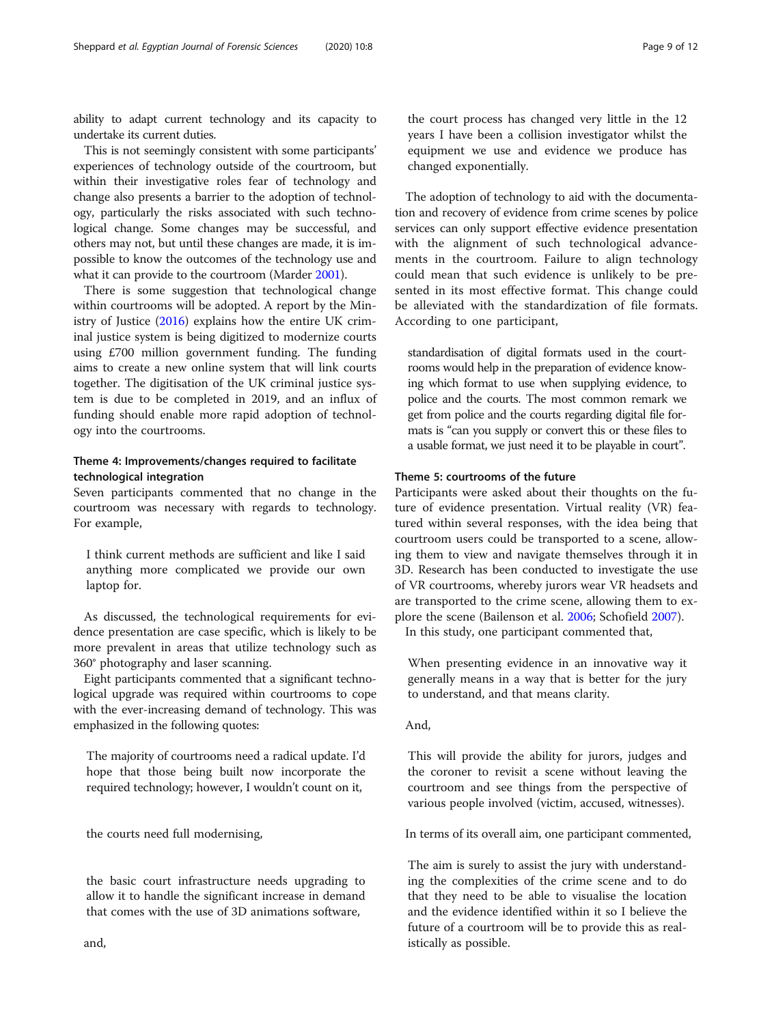ability to adapt current technology and its capacity to undertake its current duties.

This is not seemingly consistent with some participants' experiences of technology outside of the courtroom, but within their investigative roles fear of technology and change also presents a barrier to the adoption of technology, particularly the risks associated with such technological change. Some changes may be successful, and others may not, but until these changes are made, it is impossible to know the outcomes of the technology use and what it can provide to the courtroom (Marder [2001\)](#page-11-0).

There is some suggestion that technological change within courtrooms will be adopted. A report by the Ministry of Justice ([2016\)](#page-11-0) explains how the entire UK criminal justice system is being digitized to modernize courts using £700 million government funding. The funding aims to create a new online system that will link courts together. The digitisation of the UK criminal justice system is due to be completed in 2019, and an influx of funding should enable more rapid adoption of technology into the courtrooms.

# Theme 4: Improvements/changes required to facilitate technological integration

Seven participants commented that no change in the courtroom was necessary with regards to technology. For example,

I think current methods are sufficient and like I said anything more complicated we provide our own laptop for.

As discussed, the technological requirements for evidence presentation are case specific, which is likely to be more prevalent in areas that utilize technology such as 360° photography and laser scanning.

Eight participants commented that a significant technological upgrade was required within courtrooms to cope with the ever-increasing demand of technology. This was emphasized in the following quotes:

The majority of courtrooms need a radical update. I'd hope that those being built now incorporate the required technology; however, I wouldn't count on it,

the courts need full modernising,

the basic court infrastructure needs upgrading to allow it to handle the significant increase in demand that comes with the use of 3D animations software,

the court process has changed very little in the 12 years I have been a collision investigator whilst the equipment we use and evidence we produce has changed exponentially.

The adoption of technology to aid with the documentation and recovery of evidence from crime scenes by police services can only support effective evidence presentation with the alignment of such technological advancements in the courtroom. Failure to align technology could mean that such evidence is unlikely to be presented in its most effective format. This change could be alleviated with the standardization of file formats. According to one participant,

standardisation of digital formats used in the courtrooms would help in the preparation of evidence knowing which format to use when supplying evidence, to police and the courts. The most common remark we get from police and the courts regarding digital file formats is "can you supply or convert this or these files to a usable format, we just need it to be playable in court".

# Theme 5: courtrooms of the future

Participants were asked about their thoughts on the future of evidence presentation. Virtual reality (VR) featured within several responses, with the idea being that courtroom users could be transported to a scene, allowing them to view and navigate themselves through it in 3D. Research has been conducted to investigate the use of VR courtrooms, whereby jurors wear VR headsets and are transported to the crime scene, allowing them to explore the scene (Bailenson et al. [2006;](#page-10-0) Schofield [2007\)](#page-11-0).

In this study, one participant commented that,

When presenting evidence in an innovative way it generally means in a way that is better for the jury to understand, and that means clarity.

And,

This will provide the ability for jurors, judges and the coroner to revisit a scene without leaving the courtroom and see things from the perspective of various people involved (victim, accused, witnesses).

In terms of its overall aim, one participant commented,

The aim is surely to assist the jury with understanding the complexities of the crime scene and to do that they need to be able to visualise the location and the evidence identified within it so I believe the future of a courtroom will be to provide this as realistically as possible.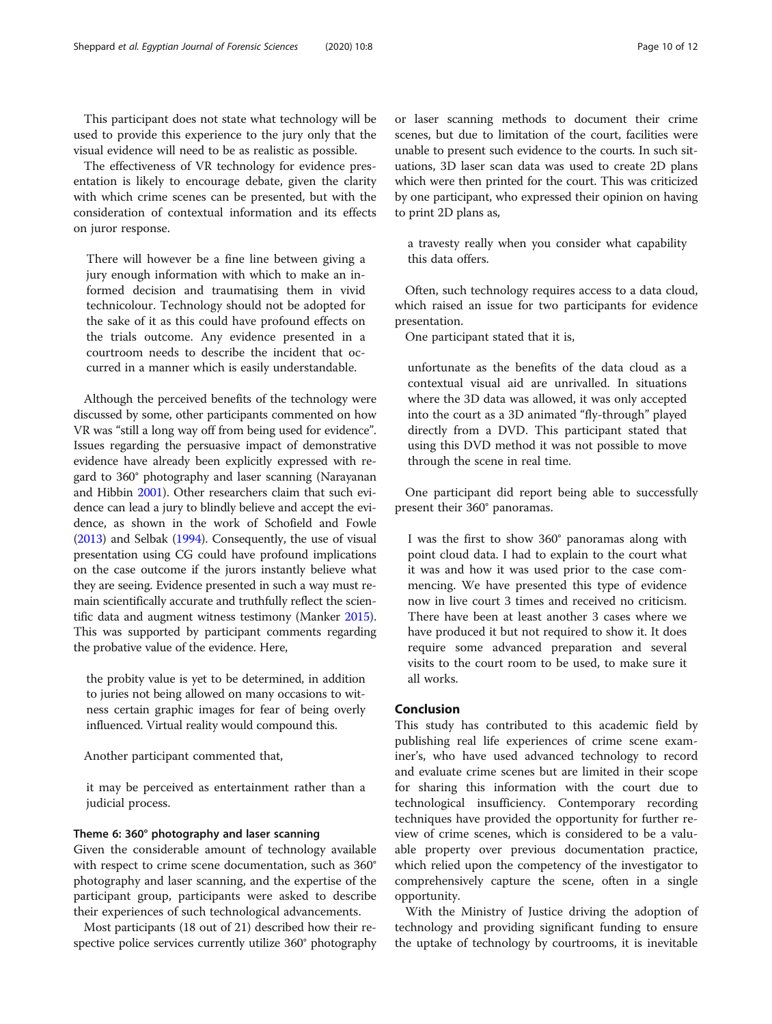This participant does not state what technology will be used to provide this experience to the jury only that the visual evidence will need to be as realistic as possible.

The effectiveness of VR technology for evidence presentation is likely to encourage debate, given the clarity with which crime scenes can be presented, but with the consideration of contextual information and its effects on juror response.

There will however be a fine line between giving a jury enough information with which to make an informed decision and traumatising them in vivid technicolour. Technology should not be adopted for the sake of it as this could have profound effects on the trials outcome. Any evidence presented in a courtroom needs to describe the incident that occurred in a manner which is easily understandable.

Although the perceived benefits of the technology were discussed by some, other participants commented on how VR was "still a long way off from being used for evidence". Issues regarding the persuasive impact of demonstrative evidence have already been explicitly expressed with regard to 360° photography and laser scanning (Narayanan and Hibbin [2001](#page-11-0)). Other researchers claim that such evidence can lead a jury to blindly believe and accept the evidence, as shown in the work of Schofield and Fowle ([2013](#page-11-0)) and Selbak [\(1994](#page-11-0)). Consequently, the use of visual presentation using CG could have profound implications on the case outcome if the jurors instantly believe what they are seeing. Evidence presented in such a way must remain scientifically accurate and truthfully reflect the scientific data and augment witness testimony (Manker [2015](#page-11-0)). This was supported by participant comments regarding the probative value of the evidence. Here,

the probity value is yet to be determined, in addition to juries not being allowed on many occasions to witness certain graphic images for fear of being overly influenced. Virtual reality would compound this.

Another participant commented that,

it may be perceived as entertainment rather than a judicial process.

## Theme 6: 360° photography and laser scanning

Given the considerable amount of technology available with respect to crime scene documentation, such as 360° photography and laser scanning, and the expertise of the participant group, participants were asked to describe their experiences of such technological advancements.

Most participants (18 out of 21) described how their respective police services currently utilize 360° photography or laser scanning methods to document their crime scenes, but due to limitation of the court, facilities were unable to present such evidence to the courts. In such situations, 3D laser scan data was used to create 2D plans which were then printed for the court. This was criticized by one participant, who expressed their opinion on having to print 2D plans as,

a travesty really when you consider what capability this data offers.

Often, such technology requires access to a data cloud, which raised an issue for two participants for evidence presentation.

One participant stated that it is,

unfortunate as the benefits of the data cloud as a contextual visual aid are unrivalled. In situations where the 3D data was allowed, it was only accepted into the court as a 3D animated "fly-through" played directly from a DVD. This participant stated that using this DVD method it was not possible to move through the scene in real time.

One participant did report being able to successfully present their 360° panoramas.

I was the first to show 360° panoramas along with point cloud data. I had to explain to the court what it was and how it was used prior to the case commencing. We have presented this type of evidence now in live court 3 times and received no criticism. There have been at least another 3 cases where we have produced it but not required to show it. It does require some advanced preparation and several visits to the court room to be used, to make sure it all works.

# Conclusion

This study has contributed to this academic field by publishing real life experiences of crime scene examiner's, who have used advanced technology to record and evaluate crime scenes but are limited in their scope for sharing this information with the court due to technological insufficiency. Contemporary recording techniques have provided the opportunity for further review of crime scenes, which is considered to be a valuable property over previous documentation practice, which relied upon the competency of the investigator to comprehensively capture the scene, often in a single opportunity.

With the Ministry of Justice driving the adoption of technology and providing significant funding to ensure the uptake of technology by courtrooms, it is inevitable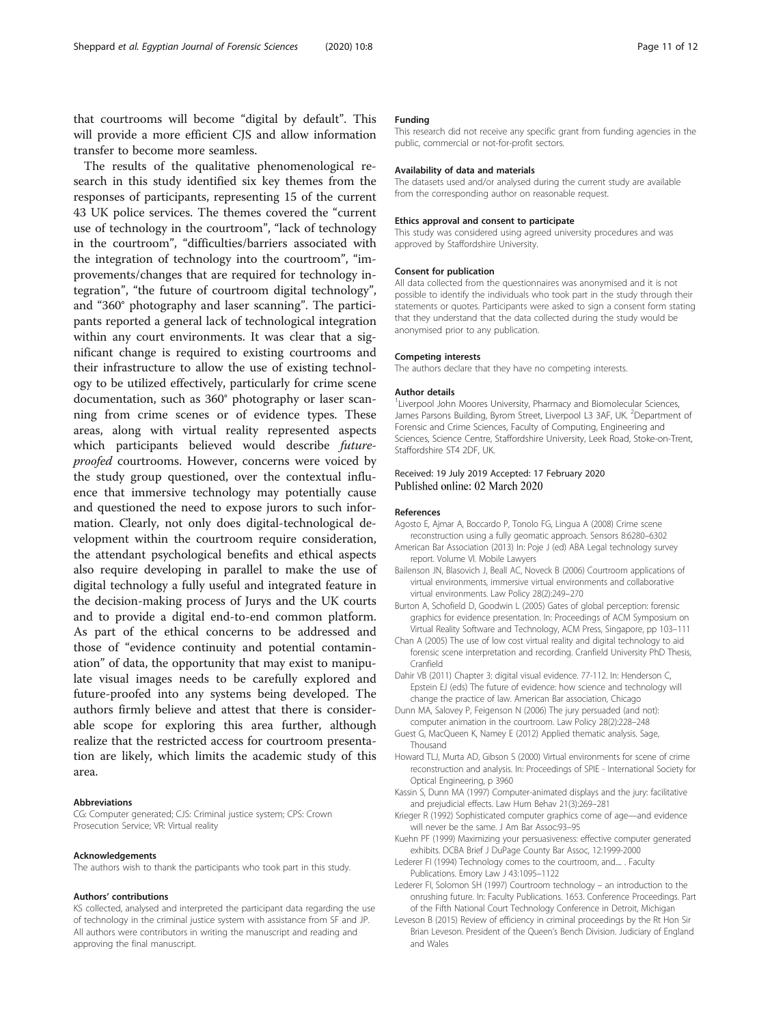<span id="page-10-0"></span>transfer to become more seamless. The results of the qualitative phenomenological research in this study identified six key themes from the responses of participants, representing 15 of the current 43 UK police services. The themes covered the "current use of technology in the courtroom", "lack of technology in the courtroom", "difficulties/barriers associated with the integration of technology into the courtroom", "improvements/changes that are required for technology integration", "the future of courtroom digital technology", and "360° photography and laser scanning". The participants reported a general lack of technological integration within any court environments. It was clear that a significant change is required to existing courtrooms and their infrastructure to allow the use of existing technology to be utilized effectively, particularly for crime scene documentation, such as 360° photography or laser scanning from crime scenes or of evidence types. These areas, along with virtual reality represented aspects which participants believed would describe *future*proofed courtrooms. However, concerns were voiced by the study group questioned, over the contextual influence that immersive technology may potentially cause and questioned the need to expose jurors to such information. Clearly, not only does digital-technological development within the courtroom require consideration, the attendant psychological benefits and ethical aspects also require developing in parallel to make the use of digital technology a fully useful and integrated feature in the decision-making process of Jurys and the UK courts and to provide a digital end-to-end common platform. As part of the ethical concerns to be addressed and those of "evidence continuity and potential contamination" of data, the opportunity that may exist to manipulate visual images needs to be carefully explored and future-proofed into any systems being developed. The authors firmly believe and attest that there is considerable scope for exploring this area further, although realize that the restricted access for courtroom presentation are likely, which limits the academic study of this area.

## Abbreviations

CG: Computer generated; CJS: Criminal justice system; CPS: Crown Prosecution Service; VR: Virtual reality

### Acknowledgements

The authors wish to thank the participants who took part in this study.

#### Authors' contributions

KS collected, analysed and interpreted the participant data regarding the use of technology in the criminal justice system with assistance from SF and JP. All authors were contributors in writing the manuscript and reading and approving the final manuscript.

### Funding

This research did not receive any specific grant from funding agencies in the public, commercial or not-for-profit sectors.

#### Availability of data and materials

The datasets used and/or analysed during the current study are available from the corresponding author on reasonable request.

#### Ethics approval and consent to participate

This study was considered using agreed university procedures and was approved by Staffordshire University.

#### Consent for publication

All data collected from the questionnaires was anonymised and it is not possible to identify the individuals who took part in the study through their statements or quotes. Participants were asked to sign a consent form stating that they understand that the data collected during the study would be anonymised prior to any publication.

#### Competing interests

The authors declare that they have no competing interests.

#### Author details

<sup>1</sup> Liverpool John Moores University, Pharmacy and Biomolecular Sciences, James Parsons Building, Byrom Street, Liverpool L3 3AF, UK. <sup>2</sup>Department of Forensic and Crime Sciences, Faculty of Computing, Engineering and Sciences, Science Centre, Staffordshire University, Leek Road, Stoke-on-Trent, Staffordshire ST4 2DF, UK.

## Received: 19 July 2019 Accepted: 17 February 2020 Published online: 02 March 2020

#### References

- Agosto E, Ajmar A, Boccardo P, Tonolo FG, Lingua A (2008) Crime scene reconstruction using a fully geomatic approach. Sensors 8:6280–6302
- American Bar Association (2013) In: Poje J (ed) ABA Legal technology survey report. Volume VI. Mobile Lawyers
- Bailenson JN, Blasovich J, Beall AC, Noveck B (2006) Courtroom applications of virtual environments, immersive virtual environments and collaborative virtual environments. Law Policy 28(2):249–270
- Burton A, Schofield D, Goodwin L (2005) Gates of global perception: forensic graphics for evidence presentation. In: Proceedings of ACM Symposium on Virtual Reality Software and Technology, ACM Press, Singapore, pp 103–111
- Chan A (2005) The use of low cost virtual reality and digital technology to aid forensic scene interpretation and recording. Cranfield University PhD Thesis, Cranfield
- Dahir VB (2011) Chapter 3: digital visual evidence. 77-112. In: Henderson C, Epstein EJ (eds) The future of evidence: how science and technology will change the practice of law. American Bar association, Chicago
- Dunn MA, Salovey P, Feigenson N (2006) The jury persuaded (and not): computer animation in the courtroom. Law Policy 28(2):228–248
- Guest G, MacQueen K, Namey E (2012) Applied thematic analysis. Sage, Thousand
- Howard TLJ, Murta AD, Gibson S (2000) Virtual environments for scene of crime reconstruction and analysis. In: Proceedings of SPIE - International Society for Optical Engineering, p 3960
- Kassin S, Dunn MA (1997) Computer-animated displays and the jury: facilitative and prejudicial effects. Law Hum Behav 21(3):269–281
- Krieger R (1992) Sophisticated computer graphics come of age—and evidence will never be the same. J Am Bar Assoc:93–95
- Kuehn PF (1999) Maximizing your persuasiveness: effective computer generated exhibits. DCBA Brief J DuPage County Bar Assoc, 12:1999-2000
- Lederer FI (1994) Technology comes to the courtroom, and.... . Faculty Publications. Emory Law J 43:1095–1122
- Lederer FI, Solomon SH (1997) Courtroom technology an introduction to the onrushing future. In: Faculty Publications. 1653. Conference Proceedings. Part of the Fifth National Court Technology Conference in Detroit, Michigan
- Leveson B (2015) Review of efficiency in criminal proceedings by the Rt Hon Sir Brian Leveson. President of the Queen's Bench Division. Judiciary of England and Wales